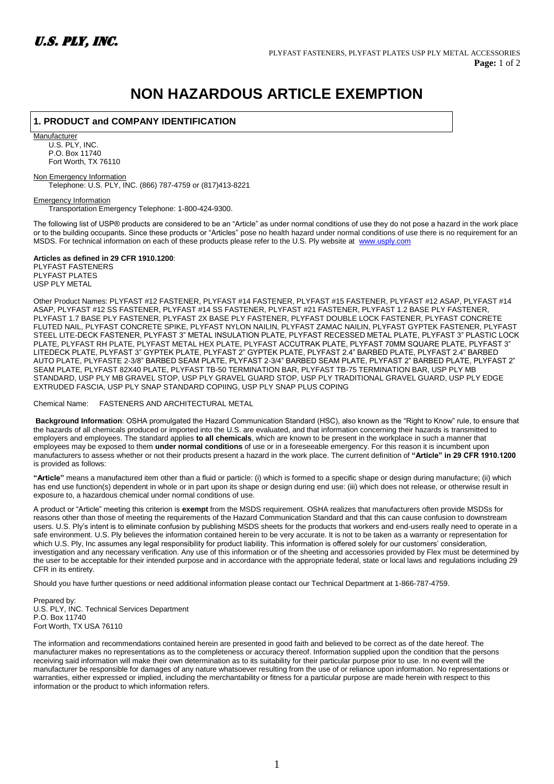

## **NON HAZARDOUS ARTICLE EXEMPTION**

## **1. PRODUCT and COMPANY IDENTIFICATION**

**Manufacturer** U.S. PLY, INC. P.O. Box 11740 Fort Worth, TX 76110

Non Emergency Information Telephone: U.S. PLY, INC. (866) 787-4759 or (817)413-8221

Emergency Information Transportation Emergency Telephone: 1-800-424-9300.

The following list of USP® products are considered to be an "Article" as under normal conditions of use they do not pose a hazard in the work place or to the building occupants. Since these products or "Articles" pose no health hazard under normal conditions of use there is no requirement for an MSDS. For technical information on each of these products please refer to the U.S. Ply website at [www.usply.com](http://www.usply.com/)

**Articles as defined in 29 CFR 1910.1200**: PLYFAST FASTENERS PI YFAST PI ATFS USP PLY METAL

Other Product Names: PLYFAST #12 FASTENER, PLYFAST #14 FASTENER, PLYFAST #15 FASTENER, PLYFAST #12 ASAP, PLYFAST #14 ASAP, PLYFAST #12 SS FASTENER, PLYFAST #14 SS FASTENER, PLYFAST #21 FASTENER, PLYFAST 1.2 BASE PLY FASTENER, PLYFAST 1.7 BASE PLY FASTENER, PLYFAST 2X BASE PLY FASTENER, PLYFAST DOUBLE LOCK FASTENER, PLYFAST CONCRETE FLUTED NAIL, PLYFAST CONCRETE SPIKE, PLYFAST NYLON NAILIN, PLYFAST ZAMAC NAILIN, PLYFAST GYPTEK FASTENER, PLYFAST STEEL LITE-DECK FASTENER, PLYFAST 3" METAL INSULATION PLATE, PLYFAST RECESSED METAL PLATE, PLYFAST 3" PLASTIC LOCK PLATE, PLYFAST RH PLATE, PLYFAST METAL HEX PLATE, PLYFAST ACCUTRAK PLATE, PLYFAST 70MM SQUARE PLATE, PLYFAST 3" LITEDECK PLATE, PLYFAST 3" GYPTEK PLATE, PLYFAST 2" GYPTEK PLATE, PLYFAST 2.4" BARBED PLATE, PLYFAST 2.4" BARBED AUTO PLATE, PLYFASTE 2-3/8" BARBED SEAM PLATE, PLYFAST 2-3/4" BARBED SEAM PLATE, PLYFAST 2" BARBED PLATE, PLYFAST 2" SEAM PLATE, PLYFAST 82X40 PLATE, PLYFAST TB-50 TERMINATION BAR, PLYFAST TB-75 TERMINATION BAR, USP PLY MB STANDARD, USP PLY MB GRAVEL STOP, USP PLY GRAVEL GUARD STOP, USP PLY TRADITIONAL GRAVEL GUARD, USP PLY EDGE EXTRUDED FASCIA, USP PLY SNAP STANDARD COPIING, USP PLY SNAP PLUS COPING

Chemical Name: FASTENERS AND ARCHITECTURAL METAL

**Background Information**: OSHA promulgated the Hazard Communication Standard (HSC), also known as the "Right to Know" rule, to ensure that the hazards of all chemicals produced or imported into the U.S. are evaluated, and that information concerning their hazards is transmitted to employers and employees. The standard applies **to all chemicals**, which are known to be present in the workplace in such a manner that employees may be exposed to them **under normal conditions** of use or in a foreseeable emergency. For this reason it is incumbent upon manufacturers to assess whether or not their products present a hazard in the work place. The current definition of **"Article" in 29 CFR 1910.1200**  is provided as follows:

**"Article"** means a manufactured item other than a fluid or particle: (i) which is formed to a specific shape or design during manufacture; (ii) which has end use function(s) dependent in whole or in part upon its shape or design during end use: (iii) which does not release, or otherwise result in exposure to, a hazardous chemical under normal conditions of use.

A product or "Article" meeting this criterion is **exempt** from the MSDS requirement. OSHA realizes that manufacturers often provide MSDSs for reasons other than those of meeting the requirements of the Hazard Communication Standard and that this can cause confusion to downstream users. U.S. Ply's intent is to eliminate confusion by publishing MSDS sheets for the products that workers and end-users really need to operate in a safe environment. U.S. Ply believes the information contained herein to be very accurate. It is not to be taken as a warranty or representation for which U.S. Ply, Inc assumes any legal responsibility for product liability. This information is offered solely for our customers' consideration, investigation and any necessary verification. Any use of this information or of the sheeting and accessories provided by Flex must be determined by the user to be acceptable for their intended purpose and in accordance with the appropriate federal, state or local laws and regulations including 29 CFR in its entirety.

Should you have further questions or need additional information please contact our Technical Department at 1-866-787-4759.

Prepared by: U.S. PLY, INC. Technical Services Department P.O. Box 11740 Fort Worth, TX USA 76110

The information and recommendations contained herein are presented in good faith and believed to be correct as of the date hereof. The manufacturer makes no representations as to the completeness or accuracy thereof. Information supplied upon the condition that the persons receiving said information will make their own determination as to its suitability for their particular purpose prior to use. In no event will the manufacturer be responsible for damages of any nature whatsoever resulting from the use of or reliance upon information. No representations or warranties, either expressed or implied, including the merchantability or fitness for a particular purpose are made herein with respect to this information or the product to which information refers.